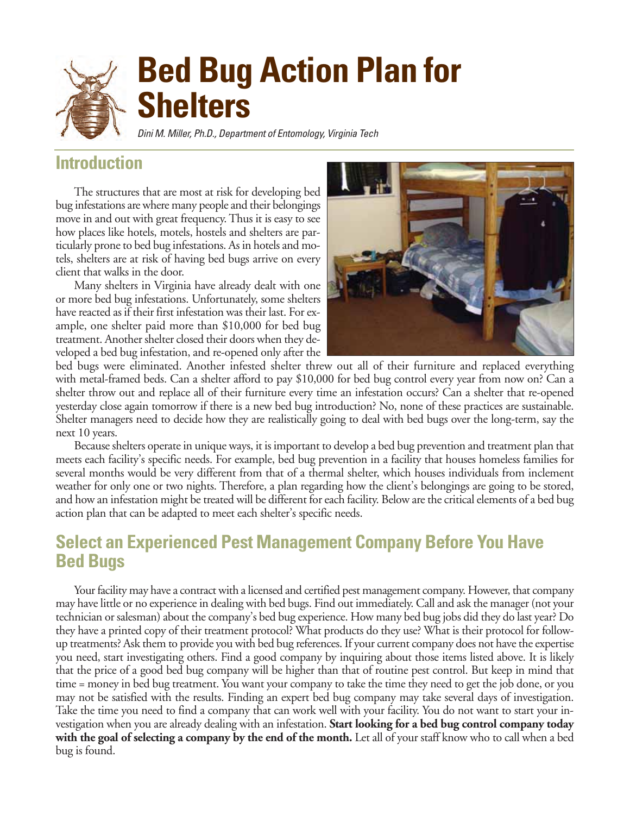# **Bed Bug Action Plan for Shelters**

Dini M. Miller, Ph.D., Department of Entomology, Virginia Tech

## **Introduction**

The structures that are most at risk for developing bed bug infestations are where many people and their belongings move in and out with great frequency. Thus it is easy to see how places like hotels, motels, hostels and shelters are particularly prone to bed bug infestations. As in hotels and motels, shelters are at risk of having bed bugs arrive on every client that walks in the door.

Many shelters in Virginia have already dealt with one or more bed bug infestations. Unfortunately, some shelters have reacted as if their first infestation was their last. For example, one shelter paid more than \$10,000 for bed bug treatment. Another shelter closed their doors when they developed a bed bug infestation, and re-opened only after the



bed bugs were eliminated. Another infested shelter threw out all of their furniture and replaced everything with metal-framed beds. Can a shelter afford to pay \$10,000 for bed bug control every year from now on? Can a shelter throw out and replace all of their furniture every time an infestation occurs? Can a shelter that re-opened yesterday close again tomorrow if there is a new bed bug introduction? No, none of these practices are sustainable. Shelter managers need to decide how they are realistically going to deal with bed bugs over the long-term, say the next 10 years.

Because shelters operate in unique ways, it is important to develop a bed bug prevention and treatment plan that meets each facility's specific needs. For example, bed bug prevention in a facility that houses homeless families for several months would be very different from that of a thermal shelter, which houses individuals from inclement weather for only one or two nights. Therefore, a plan regarding how the client's belongings are going to be stored, and how an infestation might be treated will be different for each facility. Below are the critical elements of a bed bug action plan that can be adapted to meet each shelter's specific needs.

## **Select an Experienced Pest Management Company Before You Have Bed Bugs**

Your facility may have a contract with a licensed and certified pest management company. However, that company may have little or no experience in dealing with bed bugs. Find out immediately. Call and ask the manager (not your technician or salesman) about the company's bed bug experience. How many bed bug jobs did they do last year? Do they have a printed copy of their treatment protocol? What products do they use? What is their protocol for followup treatments? Ask them to provide you with bed bug references. If your current company does not have the expertise you need, start investigating others. Find a good company by inquiring about those items listed above. It is likely that the price of a good bed bug company will be higher than that of routine pest control. But keep in mind that time = money in bed bug treatment. You want your company to take the time they need to get the job done, or you may not be satisfied with the results. Finding an expert bed bug company may take several days of investigation. Take the time you need to find a company that can work well with your facility. You do not want to start your investigation when you are already dealing with an infestation. **Start looking for a bed bug control company today with the goal of selecting a company by the end of the month.** Let all of your staff know who to call when a bed bug is found.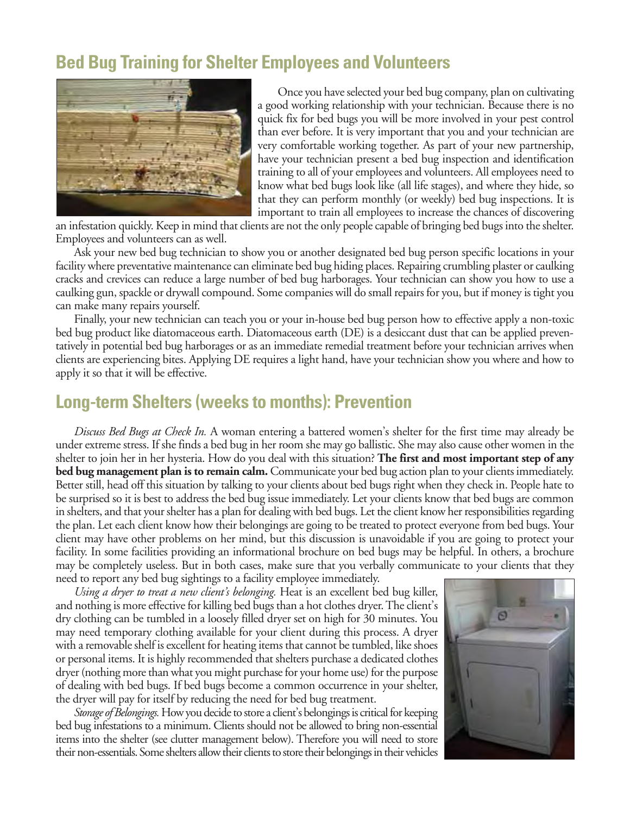## **Bed Bug Training for Shelter Employees and Volunteers**



Once you have selected your bed bug company, plan on cultivating a good working relationship with your technician. Because there is no quick fix for bed bugs you will be more involved in your pest control than ever before. It is very important that you and your technician are very comfortable working together. As part of your new partnership, have your technician present a bed bug inspection and identification training to all of your employees and volunteers. All employees need to know what bed bugs look like (all life stages), and where they hide, so that they can perform monthly (or weekly) bed bug inspections. It is important to train all employees to increase the chances of discovering

an infestation quickly. Keep in mind that clients are not the only people capable of bringing bed bugs into the shelter. Employees and volunteers can as well.

Ask your new bed bug technician to show you or another designated bed bug person specific locations in your facility where preventative maintenance can eliminate bed bug hiding places. Repairing crumbling plaster or caulking cracks and crevices can reduce a large number of bed bug harborages. Your technician can show you how to use a caulking gun, spackle or drywall compound. Some companies will do small repairs for you, but if money is tight you can make many repairs yourself.

Finally, your new technician can teach you or your in-house bed bug person how to effective apply a non-toxic bed bug product like diatomaceous earth. Diatomaceous earth (DE) is a desiccant dust that can be applied preventatively in potential bed bug harborages or as an immediate remedial treatment before your technician arrives when clients are experiencing bites. Applying DE requires a light hand, have your technician show you where and how to apply it so that it will be effective.

### **Long-term Shelters (weeks to months): Prevention**

*Discuss Bed Bugs at Check In.* A woman entering a battered women's shelter for the first time may already be under extreme stress. If she finds a bed bug in her room she may go ballistic. She may also cause other women in the shelter to join her in her hysteria. How do you deal with this situation? **The first and most important step of any bed bug management plan is to remain calm.** Communicate your bed bug action plan to your clients immediately. Better still, head off this situation by talking to your clients about bed bugs right when they check in. People hate to be surprised so it is best to address the bed bug issue immediately. Let your clients know that bed bugs are common in shelters, and that your shelter has a plan for dealing with bed bugs. Let the client know her responsibilities regarding the plan. Let each client know how their belongings are going to be treated to protect everyone from bed bugs. Your client may have other problems on her mind, but this discussion is unavoidable if you are going to protect your facility. In some facilities providing an informational brochure on bed bugs may be helpful. In others, a brochure may be completely useless. But in both cases, make sure that you verbally communicate to your clients that they need to report any bed bug sightings to a facility employee immediately.

*Using a dryer to treat a new client's belonging.* Heat is an excellent bed bug killer, and nothing is more effective for killing bed bugs than a hot clothes dryer. The client's dry clothing can be tumbled in a loosely filled dryer set on high for 30 minutes. You may need temporary clothing available for your client during this process. A dryer with a removable shelf is excellent for heating items that cannot be tumbled, like shoes or personal items. It is highly recommended that shelters purchase a dedicated clothes dryer (nothing more than what you might purchase for your home use) for the purpose of dealing with bed bugs. If bed bugs become a common occurrence in your shelter, the dryer will pay for itself by reducing the need for bed bug treatment.

*Storage of Belongings.* How you decide to store a client's belongings is critical for keeping bed bug infestations to a minimum. Clients should not be allowed to bring non-essential items into the shelter (see clutter management below). Therefore you will need to store their non-essentials. Some shelters allow their clients to store their belongings in their vehicles

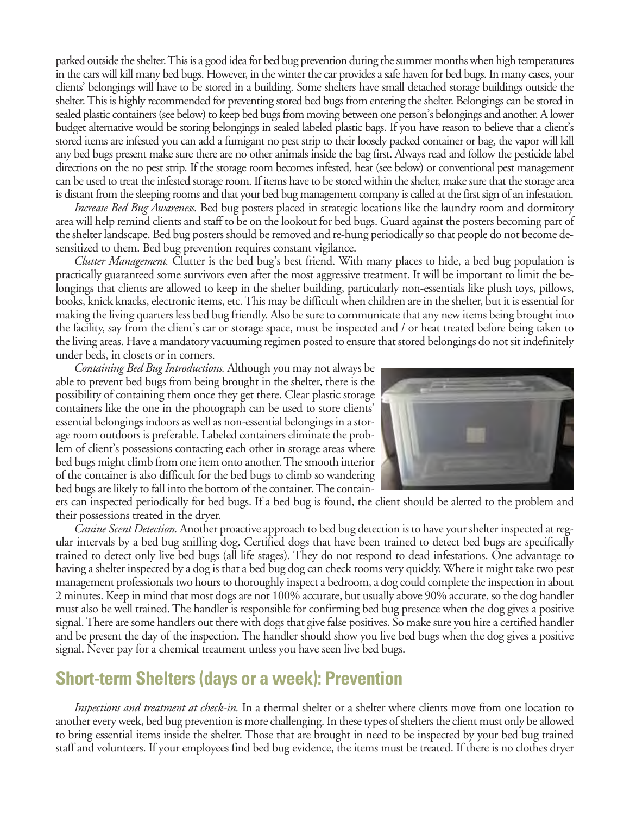parked outside the shelter. This is a good idea for bed bug prevention during the summer months when high temperatures in the cars will kill many bed bugs. However, in the winter the car provides a safe haven for bed bugs. In many cases, your clients' belongings will have to be stored in a building. Some shelters have small detached storage buildings outside the shelter. This is highly recommended for preventing stored bed bugs from entering the shelter. Belongings can be stored in sealed plastic containers (see below) to keep bed bugs from moving between one person's belongings and another. A lower budget alternative would be storing belongings in sealed labeled plastic bags. If you have reason to believe that a client's stored items are infested you can add a fumigant no pest strip to their loosely packed container or bag, the vapor will kill any bed bugs present make sure there are no other animals inside the bag first. Always read and follow the pesticide label directions on the no pest strip. If the storage room becomes infested, heat (see below) or conventional pest management can be used to treat the infested storage room. If items have to be stored within the shelter, make sure that the storage area is distant from the sleeping rooms and that your bed bug management company is called at the first sign of an infestation.

*Increase Bed Bug Awareness.* Bed bug posters placed in strategic locations like the laundry room and dormitory area will help remind clients and staff to be on the lookout for bed bugs. Guard against the posters becoming part of the shelter landscape. Bed bug posters should be removed and re-hung periodically so that people do not become desensitized to them. Bed bug prevention requires constant vigilance.

*Clutter Management.* Clutter is the bed bug's best friend. With many places to hide, a bed bug population is practically guaranteed some survivors even after the most aggressive treatment. It will be important to limit the belongings that clients are allowed to keep in the shelter building, particularly non-essentials like plush toys, pillows, books, knick knacks, electronic items, etc. This may be difficult when children are in the shelter, but it is essential for making the living quarters less bed bug friendly. Also be sure to communicate that any new items being brought into the facility, say from the client's car or storage space, must be inspected and / or heat treated before being taken to the living areas. Have a mandatory vacuuming regimen posted to ensure that stored belongings do not sit indefinitely under beds, in closets or in corners.

*Containing Bed Bug Introductions.* Although you may not always be able to prevent bed bugs from being brought in the shelter, there is the possibility of containing them once they get there. Clear plastic storage containers like the one in the photograph can be used to store clients' essential belongings indoors as well as non-essential belongings in a storage room outdoors is preferable. Labeled containers eliminate the problem of client's possessions contacting each other in storage areas where bed bugs might climb from one item onto another. The smooth interior of the container is also difficult for the bed bugs to climb so wandering bed bugs are likely to fall into the bottom of the container. The contain-



ers can inspected periodically for bed bugs. If a bed bug is found, the client should be alerted to the problem and their possessions treated in the dryer.

*Canine Scent Detection.* Another proactive approach to bed bug detection is to have your shelter inspected at regular intervals by a bed bug sniffing dog. Certified dogs that have been trained to detect bed bugs are specifically trained to detect only live bed bugs (all life stages). They do not respond to dead infestations. One advantage to having a shelter inspected by a dog is that a bed bug dog can check rooms very quickly. Where it might take two pest management professionals two hours to thoroughly inspect a bedroom, a dog could complete the inspection in about 2 minutes. Keep in mind that most dogs are not 100% accurate, but usually above 90% accurate, so the dog handler must also be well trained. The handler is responsible for confirming bed bug presence when the dog gives a positive signal. There are some handlers out there with dogs that give false positives. So make sure you hire a certified handler and be present the day of the inspection. The handler should show you live bed bugs when the dog gives a positive signal. Never pay for a chemical treatment unless you have seen live bed bugs.

### **Short-term Shelters (days or a week): Prevention**

*Inspections and treatment at check-in.* In a thermal shelter or a shelter where clients move from one location to another every week, bed bug prevention is more challenging. In these types of shelters the client must only be allowed to bring essential items inside the shelter. Those that are brought in need to be inspected by your bed bug trained staff and volunteers. If your employees find bed bug evidence, the items must be treated. If there is no clothes dryer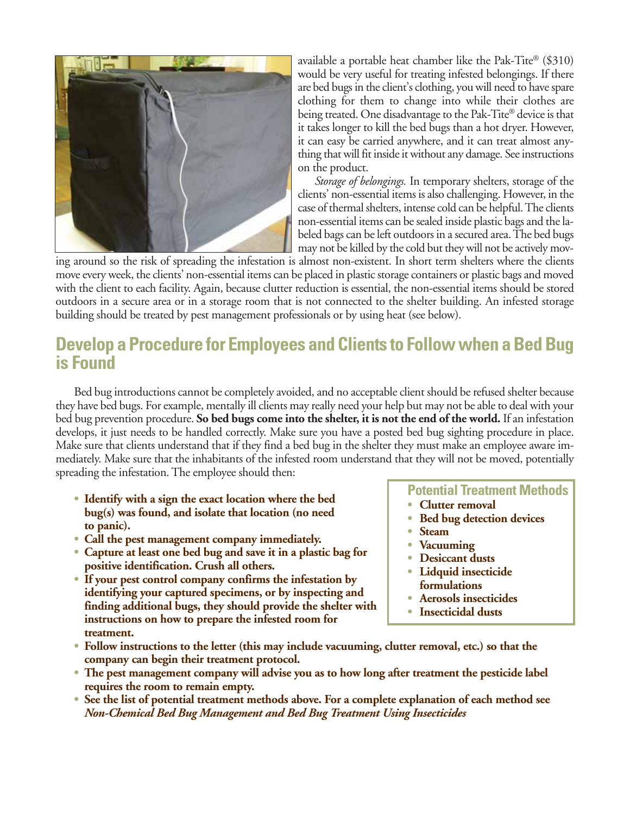

available a portable heat chamber like the Pak-Tite® (\$310) would be very useful for treating infested belongings. If there are bed bugs in the client's clothing, you will need to have spare clothing for them to change into while their clothes are being treated. One disadvantage to the Pak-Tite® device is that it takes longer to kill the bed bugs than a hot dryer. However, it can easy be carried anywhere, and it can treat almost anything that will fit inside it without any damage. See instructions on the product.

*Storage of belongings.* In temporary shelters, storage of the clients' non-essential items is also challenging. However, in the case of thermal shelters, intense cold can be helpful. The clients non-essential items can be sealed inside plastic bags and the labeled bags can be left outdoors in a secured area. The bed bugs may not be killed by the cold but they will not be actively mov-

ing around so the risk of spreading the infestation is almost non-existent. In short term shelters where the clients move every week, the clients' non-essential items can be placed in plastic storage containers or plastic bags and moved with the client to each facility. Again, because clutter reduction is essential, the non-essential items should be stored outdoors in a secure area or in a storage room that is not connected to the shelter building. An infested storage building should be treated by pest management professionals or by using heat (see below).

## **Develop a Procedure for Employees and Clients to Follow when a Bed Bug is Found**

Bed bug introductions cannot be completely avoided, and no acceptable client should be refused shelter because they have bed bugs. For example, mentally ill clients may really need your help but may not be able to deal with your bed bug prevention procedure. **So bed bugs come into the shelter, it is not the end of the world.** If an infestation develops, it just needs to be handled correctly. Make sure you have a posted bed bug sighting procedure in place. Make sure that clients understand that if they find a bed bug in the shelter they must make an employee aware immediately. Make sure that the inhabitants of the infested room understand that they will not be moved, potentially spreading the infestation. The employee should then:

- **• Identify with a sign the exact location where the bed bug(s) was found, and isolate that location (no need to panic).**
- **• Call the pest management company immediately.**
- **• Capture at least one bed bug and save it in a plastic bag for positive identification. Crush all others.**
- **• If your pest control company confirms the infestation by identifying your captured specimens, or by inspecting and finding additional bugs, they should provide the shelter with instructions on how to prepare the infested room for treatment.**

**Potential Treatment Methods**

- **• Clutter removal**
- **• Bed bug detection devices**
- **• Steam**
- **• Vacuuming**
- **• Desiccant dusts**
- **• Lidquid insecticide formulations**
- **• Aerosols insecticides**
- **• Insecticidal dusts**
- **• Follow instructions to the letter (this may include vacuuming, clutter removal, etc.) so that the company can begin their treatment protocol.**
- **• The pest management company will advise you as to how long after treatment the pesticide label requires the room to remain empty.**
- **• See the list of potential treatment methods above. For a complete explanation of each method see** *Non-Chemical Bed Bug Management and Bed Bug Treatment Using Insecticides*